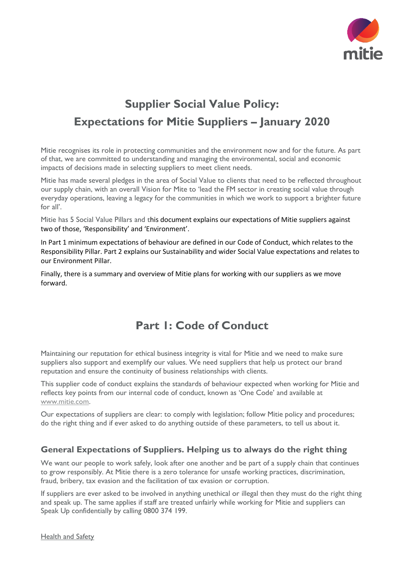

# **Supplier Social Value Policy: Expectations for Mitie Suppliers – January 2020**

Mitie recognises its role in protecting communities and the environment now and for the future. As part of that, we are committed to understanding and managing the environmental, social and economic impacts of decisions made in selecting suppliers to meet client needs.

Mitie has made several pledges in the area of Social Value to clients that need to be reflected throughout our supply chain, with an overall Vision for Mite to 'lead the FM sector in creating social value through everyday operations, leaving a legacy for the communities in which we work to support a brighter future for all'.

Mitie has 5 Social Value Pillars and this document explains our expectations of Mitie suppliers against two of those, 'Responsibility' and 'Environment'.

In Part 1 minimum expectations of behaviour are defined in our Code of Conduct, which relates to the Responsibility Pillar. Part 2 explains our Sustainability and wider Social Value expectations and relates to our Environment Pillar.

Finally, there is a summary and overview of Mitie plans for working with our suppliers as we move forward.

## **Part 1: Code of Conduct**

Maintaining our reputation for ethical business integrity is vital for Mitie and we need to make sure suppliers also support and exemplify our values. We need suppliers that help us protect our brand reputation and ensure the continuity of business relationships with clients.

This supplier code of conduct explains the standards of behaviour expected when working for Mitie and reflects key points from our internal code of conduct, known as 'One Code' and available at [www.mitie.com.](http://www.mitie.com/)

Our expectations of suppliers are clear: to comply with legislation; follow Mitie policy and procedures; do the right thing and if ever asked to do anything outside of these parameters, to tell us about it.

### **General Expectations of Suppliers. Helping us to always do the right thing**

We want our people to work safely, look after one another and be part of a supply chain that continues to grow responsibly. At Mitie there is a zero tolerance for unsafe working practices, discrimination, fraud, bribery, tax evasion and the facilitation of tax evasion or corruption.

If suppliers are ever asked to be involved in anything unethical or illegal then they must do the right thing and speak up. The same applies if staff are treated unfairly while working for Mitie and suppliers can Speak Up confidentially by calling 0800 374 199.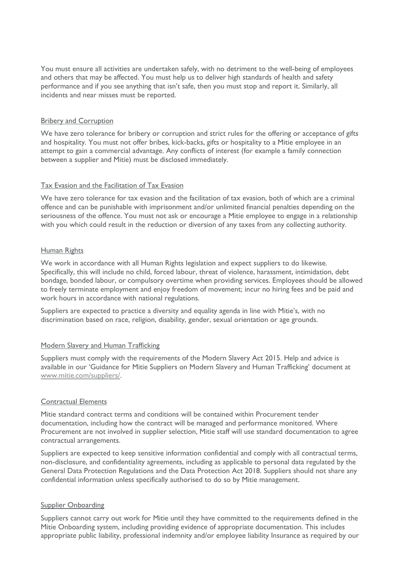You must ensure all activities are undertaken safely, with no detriment to the well-being of employees and others that may be affected. You must help us to deliver high standards of health and safety performance and if you see anything that isn't safe, then you must stop and report it. Similarly, all incidents and near misses must be reported.

#### Bribery and Corruption

We have zero tolerance for bribery or corruption and strict rules for the offering or acceptance of gifts and hospitality. You must not offer bribes, kick-backs, gifts or hospitality to a Mitie employee in an attempt to gain a commercial advantage. Any conflicts of interest (for example a family connection between a supplier and Mitie) must be disclosed immediately.

#### Tax Evasion and the Facilitation of Tax Evasion

We have zero tolerance for tax evasion and the facilitation of tax evasion, both of which are a criminal offence and can be punishable with imprisonment and/or unlimited financial penalties depending on the seriousness of the offence. You must not ask or encourage a Mitie employee to engage in a relationship with you which could result in the reduction or diversion of any taxes from any collecting authority.

#### Human Rights

We work in accordance with all Human Rights legislation and expect suppliers to do likewise. Specifically, this will include no child, forced labour, threat of violence, harassment, intimidation, debt bondage, bonded labour, or compulsory overtime when providing services. Employees should be allowed to freely terminate employment and enjoy freedom of movement; incur no hiring fees and be paid and work hours in accordance with national regulations.

Suppliers are expected to practice a diversity and equality agenda in line with Mitie's, with no discrimination based on race, religion, disability, gender, sexual orientation or age grounds.

#### Modern Slavery and Human Trafficking

Suppliers must comply with the requirements of the Modern Slavery Act 2015. Help and advice is available in our 'Guidance for Mitie Suppliers on Modern Slavery and Human Trafficking' document at [www.mitie.com/suppliers/.](http://www.mitie.com/suppliers/)

#### Contractual Elements

Mitie standard contract terms and conditions will be contained within Procurement tender documentation, including how the contract will be managed and performance monitored. Where Procurement are not involved in supplier selection, Mitie staff will use standard documentation to agree contractual arrangements.

Suppliers are expected to keep sensitive information confidential and comply with all contractual terms, non-disclosure, and confidentiality agreements, including as applicable to personal data regulated by the General Data Protection Regulations and the Data Protection Act 2018. Suppliers should not share any confidential information unless specifically authorised to do so by Mitie management.

#### Supplier Onboarding

Suppliers cannot carry out work for Mitie until they have committed to the requirements defined in the Mitie Onboarding system, including providing evidence of appropriate documentation. This includes appropriate public liability, professional indemnity and/or employee liability Insurance as required by our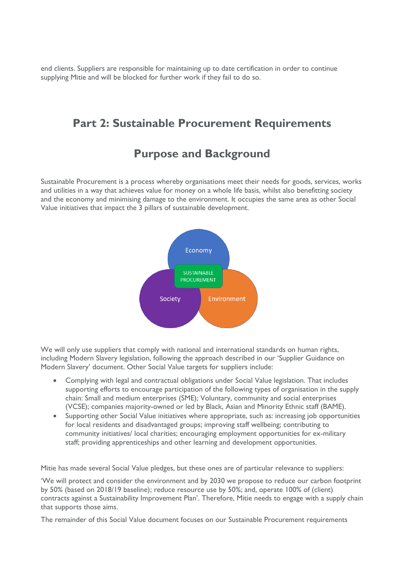end clients. Suppliers are responsible for maintaining up to date certification in order to continue supplying Mitie and will be blocked for further work if they fail to do so.

## **Part 2: Sustainable Procurement Requirements**

## **Purpose and Background**

Sustainable Procurement is a process whereby organisations meet their needs for goods, services, works and utilities in a way that achieves value for money on a whole life basis, whilst also benefitting society and the economy and minimising damage to the environment. It occupies the same area as other Social Value initiatives that impact the 3 pillars of sustainable development.



We will only use suppliers that comply with national and international standards on human rights, including Modern Slavery legislation, following the approach described in our 'Supplier Guidance on Modern Slavery' document. Other Social Value targets for suppliers include:

- Complying with legal and contractual obligations under Social Value legislation. That includes supporting efforts to encourage participation of the following types of organisation in the supply chain: Small and medium enterprises (SME); Voluntary, community and social enterprises (VCSE); companies majority-owned or led by Black, Asian and Minority Ethnic staff (BAME).
- Supporting other Social Value initiatives where appropriate, such as: increasing job opportunities for local residents and disadvantaged groups; improving staff wellbeing; contributing to community initiatives/ local charities; encouraging employment opportunities for ex-military staff; providing apprenticeships and other learning and development opportunities.

Mitie has made several Social Value pledges, but these ones are of particular relevance to suppliers:

'We will protect and consider the environment and by 2030 we propose to reduce our carbon footprint by 50% (based on 2018/19 baseline); reduce resource use by 50%; and, operate 100% of (client) contracts against a Sustainability Improvement Plan'. Therefore, Mitie needs to engage with a supply chain that supports those aims.

The remainder of this Social Value document focuses on our Sustainable Procurement requirements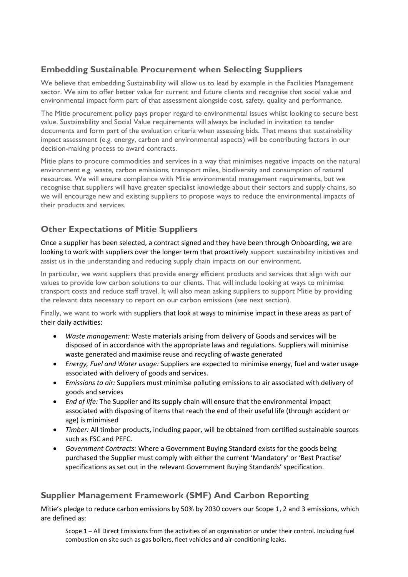### **Embedding Sustainable Procurement when Selecting Suppliers**

We believe that embedding Sustainability will allow us to lead by example in the Facilities Management sector. We aim to offer better value for current and future clients and recognise that social value and environmental impact form part of that assessment alongside cost, safety, quality and performance.

The Mitie procurement policy pays proper regard to environmental issues whilst looking to secure best value. Sustainability and Social Value requirements will always be included in invitation to tender documents and form part of the evaluation criteria when assessing bids. That means that sustainability impact assessment (e.g. energy, carbon and environmental aspects) will be contributing factors in our decision-making process to award contracts.

Mitie plans to procure commodities and services in a way that minimises negative impacts on the natural environment e.g. waste, carbon emissions, transport miles, biodiversity and consumption of natural resources. We will ensure compliance with Mitie environmental management requirements, but we recognise that suppliers will have greater specialist knowledge about their sectors and supply chains, so we will encourage new and existing suppliers to propose ways to reduce the environmental impacts of their products and services.

### **Other Expectations of Mitie Suppliers**

Once a supplier has been selected, a contract signed and they have been through Onboarding, we are looking to work with suppliers over the longer term that proactively support sustainability initiatives and assist us in the understanding and reducing supply chain impacts on our environment.

In particular, we want suppliers that provide energy efficient products and services that align with our values to provide low carbon solutions to our clients. That will include looking at ways to minimise transport costs and reduce staff travel. It will also mean asking suppliers to support Mitie by providing the relevant data necessary to report on our carbon emissions (see next section).

Finally, we want to work with suppliers that look at ways to minimise impact in these areas as part of their daily activities:

- *Waste management:* Waste materials arising from delivery of Goods and services will be disposed of in accordance with the appropriate laws and regulations. Suppliers will minimise waste generated and maximise reuse and recycling of waste generated
- *Energy, Fuel and Water usage:* Suppliers are expected to minimise energy, fuel and water usage associated with delivery of goods and services.
- *Emissions to air:* Suppliers must minimise polluting emissions to air associated with delivery of goods and services
- *End of life:* The Supplier and its supply chain will ensure that the environmental impact associated with disposing of items that reach the end of their useful life (through accident or age) is minimised
- *Timber:* All timber products, including paper, will be obtained from certified sustainable sources such as FSC and PEFC.
- *Government Contracts:* Where a Government Buying Standard exists for the goods being purchased the Supplier must comply with either the current 'Mandatory' or 'Best Practise' specifications as set out in the relevant Government Buying Standards' specification.

### **Supplier Management Framework (SMF) And Carbon Reporting**

Mitie's pledge to reduce carbon emissions by 50% by 2030 covers our Scope 1, 2 and 3 emissions, which are defined as:

Scope 1 – All Direct Emissions from the activities of an organisation or under their control. Including fuel combustion on site such as gas boilers, fleet vehicles and air-conditioning leaks.